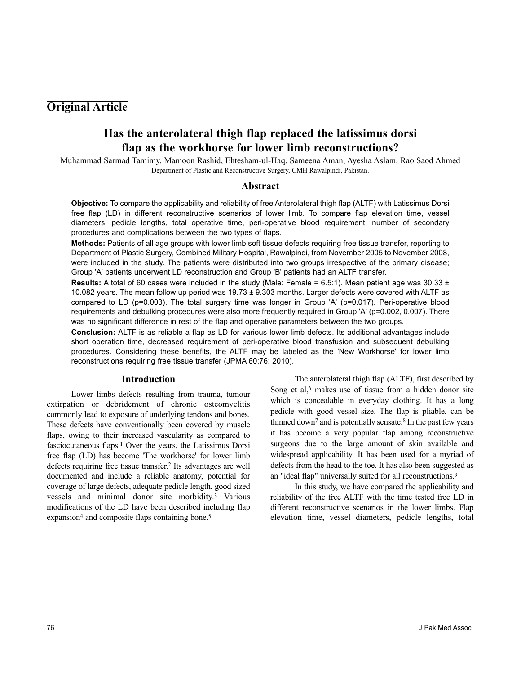## **Original Article**

# **Has the anterolateral thigh flap replaced the latissimus dorsi flap as the workhorse for lower limb reconstructions?**

Muhammad Sarmad Tamimy, Mamoon Rashid, Ehtesham-ul-Haq, Sameena Aman, Ayesha Aslam, Rao Saod Ahmed Department of Plastic and Reconstructive Surgery, CMH Rawalpindi, Pakistan.

#### **Abstract**

**Objective:** To compare the applicability and reliability of free Anterolateral thigh flap (ALTF) with Latissimus Dorsi free flap (LD) in different reconstructive scenarios of lower limb. To compare flap elevation time, vessel diameters, pedicle lengths, total operative time, peri-operative blood requirement, number of secondary procedures and complications between the two types of flaps.

**Methods:** Patients of all age groups with lower limb soft tissue defects requiring free tissue transfer, reporting to Department of Plastic Surgery, Combined Military Hospital, Rawalpindi, from November 2005 to November 2008, were included in the study. The patients were distributed into two groups irrespective of the primary disease; Group 'A' patients underwent LD reconstruction and Group 'B' patients had an ALTF transfer.

**Results:** A total of 60 cases were included in the study (Male: Female = 6.5:1). Mean patient age was 30.33 ± 10.082 years. The mean follow up period was 19.73 ± 9.303 months. Larger defects were covered with ALTF as compared to LD (p=0.003). The total surgery time was longer in Group 'A' (p=0.017). Peri-operative blood requirements and debulking procedures were also more frequently required in Group 'A' (p=0.002, 0.007). There was no significant difference in rest of the flap and operative parameters between the two groups.

**Conclusion:** ALTF is as reliable a flap as LD for various lower limb defects. Its additional advantages include short operation time, decreased requirement of peri-operative blood transfusion and subsequent debulking procedures. Considering these benefits, the ALTF may be labeled as the 'New Workhorse' for lower limb reconstructions requiring free tissue transfer (JPMA 60:76; 2010).

#### **Introduction**

Lower limbs defects resulting from trauma, tumour extirpation or debridement of chronic osteomyelitis commonly lead to exposure of underlying tendons and bones. These defects have conventionally been covered by muscle flaps, owing to their increased vascularity as compared to fasciocutaneous flaps.<sup>1</sup> Over the years, the Latissimus Dorsi free flap (LD) has become 'The workhorse' for lower limb defects requiring free tissue transfer.<sup>2</sup> Its advantages are well documented and include a reliable anatomy, potential for coverage of large defects, adequate pedicle length, good sized vessels and minimal donor site morbidity.<sup>3</sup> Various modifications of the LD have been described including flap expansion<sup>4</sup> and composite flaps containing bone.<sup>5</sup>

The anterolateral thigh flap (ALTF), first described by Song et al,<sup>6</sup> makes use of tissue from a hidden donor site which is concealable in everyday clothing. It has a long pedicle with good vessel size. The flap is pliable, can be thinned down<sup>7</sup> and is potentially sensate.<sup>8</sup> In the past few years it has become a very popular flap among reconstructive surgeons due to the large amount of skin available and widespread applicability. It has been used for a myriad of defects from the head to the toe. It has also been suggested as an "ideal flap" universally suited for all reconstructions.<sup>9</sup>

In this study, we have compared the applicability and reliability of the free ALTF with the time tested free LD in different reconstructive scenarios in the lower limbs. Flap elevation time, vessel diameters, pedicle lengths, total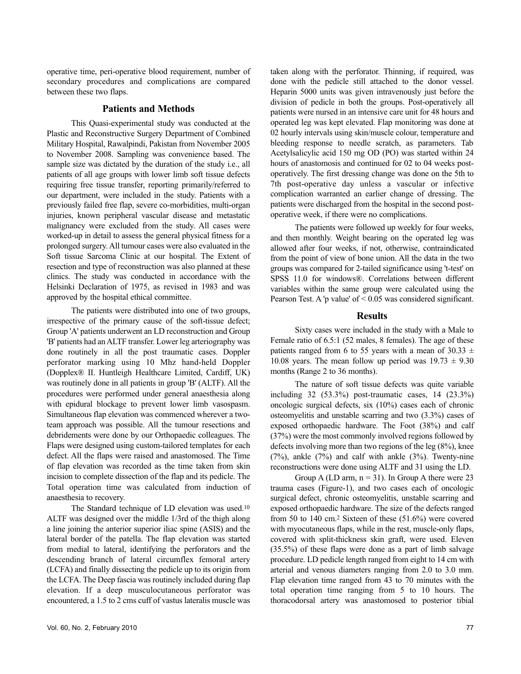operative time, peri-operative blood requirement, number of secondary procedures and complications are compared between these two flaps.

#### **Patients and Methods**

This Quasi-experimental study was conducted at the Plastic and Reconstructive Surgery Department of Combined Military Hospital, Rawalpindi, Pakistan from November 2005 to November 2008. Sampling was convenience based. The sample size was dictated by the duration of the study i.e., all patients of all age groups with lower limb soft tissue defects requiring free tissue transfer, reporting primarily/referred to our department, were included in the study. Patients with a previously failed free flap, severe co-morbidities, multi-organ injuries, known peripheral vascular disease and metastatic malignancy were excluded from the study. All cases were worked-up in detail to assess the general physical fitness for a prolonged surgery. All tumour cases were also evaluated in the Soft tissue Sarcoma Clinic at our hospital. The Extent of resection and type of reconstruction was also planned at these clinics. The study was conducted in accordance with the Helsinki Declaration of 1975, as revised in 1983 and was approved by the hospital ethical committee.

The patients were distributed into one of two groups, irrespective of the primary cause of the soft-tissue defect; Group 'A' patients underwent an LD reconstruction and Group 'B' patients had an ALTF transfer. Lower leg arteriography was done routinely in all the post traumatic cases. Doppler perforator marking using 10 Mhz hand-held Doppler (Dopplex® II. Huntleigh Healthcare Limited, Cardiff, UK) was routinely done in all patients in group 'B' (ALTF). All the procedures were performed under general anaesthesia along with epidural blockage to prevent lower limb vasospasm. Simultaneous flap elevation was commenced wherever a twoteam approach was possible. All the tumour resections and debridements were done by our Orthopaedic colleagues. The Flaps were designed using custom-tailored templates for each defect. All the flaps were raised and anastomosed. The Time of flap elevation was recorded as the time taken from skin incision to complete dissection of the flap and its pedicle. The Total operation time was calculated from induction of anaesthesia to recovery.

The Standard technique of LD elevation was used.<sup>10</sup> ALTF was designed over the middle 1/3rd of the thigh along a line joining the anterior superior iliac spine (ASIS) and the lateral border of the patella. The flap elevation was started from medial to lateral, identifying the perforators and the descending branch of lateral circumflex femoral artery (LCFA) and finally dissecting the pedicle up to its origin from the LCFA. The Deep fascia was routinely included during flap elevation. If a deep musculocutaneous perforator was encountered, a 1.5 to 2 cms cuff of vastus lateralis muscle was

taken along with the perforator. Thinning, if required, was done with the pedicle still attached to the donor vessel. Heparin 5000 units was given intravenously just before the division of pedicle in both the groups. Post-operatively all patients were nursed in an intensive care unit for 48 hours and operated leg was kept elevated. Flap monitoring was done at 02 hourly intervals using skin/muscle colour, temperature and bleeding response to needle scratch, as parameters. Tab Acetylsalicylic acid 150 mg OD (PO) was started within 24 hours of anastomosis and continued for 02 to 04 weeks postoperatively. The first dressing change was done on the 5th to 7th post-operative day unless a vascular or infective complication warranted an earlier change of dressing. The patients were discharged from the hospital in the second postoperative week, if there were no complications.

The patients were followed up weekly for four weeks, and then monthly. Weight bearing on the operated leg was allowed after four weeks, if not, otherwise, contraindicated from the point of view of bone union. All the data in the two groups was compared for 2-tailed significance using 't-test' on SPSS 11.0 for windows®. Correlations between different variables within the same group were calculated using the Pearson Test. A 'p value' of < 0.05 was considered significant.

#### **Results**

Sixty cases were included in the study with a Male to Female ratio of 6.5:1 (52 males, 8 females). The age of these patients ranged from 6 to 55 years with a mean of 30.33  $\pm$ 10.08 years. The mean follow up period was  $19.73 \pm 9.30$ months (Range 2 to 36 months).

The nature of soft tissue defects was quite variable including 32 (53.3%) post-traumatic cases, 14 (23.3%) oncologic surgical defects, six (10%) cases each of chronic osteomyelitis and unstable scarring and two (3.3%) cases of exposed orthopaedic hardware. The Foot (38%) and calf (37%) were the most commonly involved regions followed by defects involving more than two regions of the leg (8%), knee (7%), ankle (7%) and calf with ankle (3%). Twenty-nine reconstructions were done using ALTF and 31 using the LD.

Group A (LD arm,  $n = 31$ ). In Group A there were 23 trauma cases (Figure-1), and two cases each of oncologic surgical defect, chronic osteomyelitis, unstable scarring and exposed orthopaedic hardware. The size of the defects ranged from 50 to 140 cm.<sup>2</sup> Sixteen of these (51.6%) were covered with myocutaneous flaps, while in the rest, muscle-only flaps, covered with split-thickness skin graft, were used. Eleven (35.5%) of these flaps were done as a part of limb salvage procedure. LD pedicle length ranged from eight to 14 cm with arterial and venous diameters ranging from 2.0 to 3.0 mm. Flap elevation time ranged from 43 to 70 minutes with the total operation time ranging from 5 to 10 hours. The thoracodorsal artery was anastomosed to posterior tibial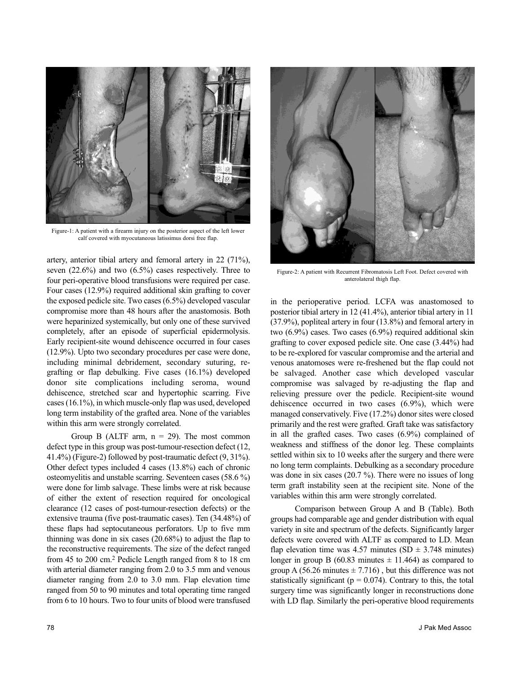

Figure-1: A patient with a firearm injury on the posterior aspect of the left lower calf covered with myocutaneous latissimus dorsi free flap.

artery, anterior tibial artery and femoral artery in 22 (71%), seven (22.6%) and two (6.5%) cases respectively. Three to four peri-operative blood transfusions were required per case. Four cases (12.9%) required additional skin grafting to cover the exposed pedicle site. Two cases (6.5%) developed vascular compromise more than 48 hours after the anastomosis. Both were heparinized systemically, but only one of these survived completely, after an episode of superficial epidermolysis. Early recipient-site wound dehiscence occurred in four cases (12.9%). Upto two secondary procedures per case were done, including minimal debridement, secondary suturing, regrafting or flap debulking. Five cases (16.1%) developed donor site complications including seroma, wound dehiscence, stretched scar and hypertophic scarring. Five cases (16.1%), in which muscle-only flap was used, developed long term instability of the grafted area. None of the variables within this arm were strongly correlated.

Group B (ALTF arm,  $n = 29$ ). The most common defect type in this group was post-tumour-resection defect (12, 41.4%) (Figure-2) followed by post-traumatic defect (9, 31%). Other defect types included 4 cases (13.8%) each of chronic osteomyelitis and unstable scarring. Seventeen cases (58.6 %) were done for limb salvage. These limbs were at risk because of either the extent of resection required for oncological clearance (12 cases of post-tumour-resection defects) or the extensive trauma (five post-traumatic cases). Ten (34.48%) of these flaps had septocutaneous perforators. Up to five mm thinning was done in six cases (20.68%) to adjust the flap to the reconstructive requirements. The size of the defect ranged from 45 to 200 cm.<sup>2</sup> Pedicle Length ranged from 8 to 18 cm with arterial diameter ranging from 2.0 to 3.5 mm and venous diameter ranging from 2.0 to 3.0 mm. Flap elevation time ranged from 50 to 90 minutes and total operating time ranged from 6 to 10 hours. Two to four units of blood were transfused



Figure-2: A patient with Recurrent Fibromatosis Left Foot. Defect covered with anterolateral thigh flap.

in the perioperative period. LCFA was anastomosed to posterior tibial artery in 12 (41.4%), anterior tibial artery in 11 (37.9%), popliteal artery in four (13.8%) and femoral artery in two (6.9%) cases. Two cases (6.9%) required additional skin grafting to cover exposed pedicle site. One case (3.44%) had to be re-explored for vascular compromise and the arterial and venous anatomoses were re-freshened but the flap could not be salvaged. Another case which developed vascular compromise was salvaged by re-adjusting the flap and relieving pressure over the pedicle. Recipient-site wound dehiscence occurred in two cases (6.9%), which were managed conservatively. Five (17.2%) donor sites were closed primarily and the rest were grafted. Graft take was satisfactory in all the grafted cases. Two cases (6.9%) complained of weakness and stiffness of the donor leg. These complaints settled within six to 10 weeks after the surgery and there were no long term complaints. Debulking as a secondary procedure was done in six cases (20.7 %). There were no issues of long term graft instability seen at the recipient site. None of the variables within this arm were strongly correlated.

Comparison between Group A and B (Table). Both groups had comparable age and gender distribution with equal variety in site and spectrum of the defects. Significantly larger defects were covered with ALTF as compared to LD. Mean flap elevation time was 4.57 minutes (SD  $\pm$  3.748 minutes) longer in group B (60.83 minutes  $\pm$  11.464) as compared to group A (56.26 minutes  $\pm$  7.716), but this difference was not statistically significant ( $p = 0.074$ ). Contrary to this, the total surgery time was significantly longer in reconstructions done with LD flap. Similarly the peri-operative blood requirements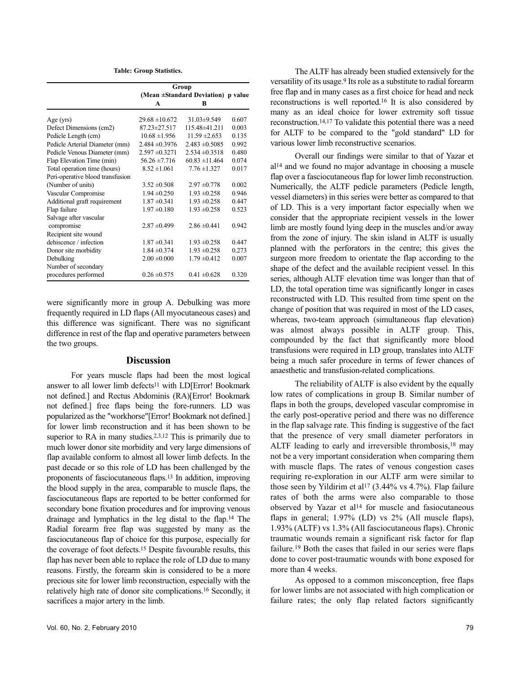**Table: Group Statistics.**

|                                  | Group<br>(Mean ±Standard Deviation) p value |                    |       |
|----------------------------------|---------------------------------------------|--------------------|-------|
|                                  |                                             |                    |       |
|                                  | $\blacktriangle$                            | R                  |       |
| Age $(yrs)$                      | $29.68 \pm 10.672$                          | $31.03 \pm 9.549$  | 0.607 |
| Defect Dimensions (cm2)          | 87.23±27.517                                | 115.48±41.211      | 0.003 |
| Pedicle Length (cm)              | $10.68 \pm 1.956$                           | $11.59 \pm 2.653$  | 0.135 |
| Pedicle Arterial Diameter (mm)   | $2.484 \pm 0.3976$                          | $2.483 \pm 0.5085$ | 0.992 |
| Pedicle Venous Diameter (mm)     | $2.597 \pm 0.3271$                          | $2.534 \pm 0.3518$ | 0.480 |
| Flap Elevation Time (min)        | $56.26 \pm 7.716$                           | $60.83 \pm 11.464$ | 0.074 |
| Total operation time (hours)     | $8.52 \pm 1.061$                            | $7.76 \pm 1.327$   | 0.017 |
| Peri-operative blood transfusion |                                             |                    |       |
| (Number of units)                | $3.52 \pm 0.508$                            | $2.97 \pm 0.778$   | 0.002 |
| Vascular Compromise              | $1.94 \pm 0.250$                            | $1.93 \pm 0.258$   | 0.946 |
| Additional graft requirement     | $1.87 \pm 0.341$                            | $1.93 \pm 0.258$   | 0.447 |
| Flap failure                     | $1.97 \pm 0.180$                            | $1.93 \pm 0.258$   | 0.523 |
| Salvage after vascular           |                                             |                    |       |
| compromise                       | $2.87 \pm 0.499$                            | $2.86 \pm 0.441$   | 0.942 |
| Recipient site wound             |                                             |                    |       |
| dehiscence / infection           | $1.87 \pm 0.341$                            | $1.93 \pm 0.258$   | 0.447 |
| Donor site morbidity             | $1.84 \pm 0.374$                            | $1.93 \pm 0.258$   | 0.273 |
| Debulking                        | $2.00 \pm 0.000$                            | $1.79 \pm 0.412$   | 0.007 |
| Number of secondary              |                                             |                    |       |
| procedures performed             | $0.26 \pm 0.575$                            | $0.41 \pm 0.628$   | 0.320 |

were significantly more in group A. Debulking was more frequently required in LD flaps (All myocutaneous cases) and this difference was significant. There was no significant difference in rest of the flap and operative parameters between the two groups.

#### **Discussion**

For years muscle flaps had been the most logical answer to all lower limb defects<sup>11</sup> with LD[Error! Bookmark not defined.] and Rectus Abdominis (RA)[Error! Bookmark not defined.] free flaps being the fore-runners. LD was popularized as the "workhorse"[Error! Bookmark not defined.] for lower limb reconstruction and it has been shown to be superior to RA in many studies.<sup>2,3,12</sup> This is primarily due to much lower donor site morbidity and very large dimensions of flap available conform to almost all lower limb defects. In the past decade or so this role of LD has been challenged by the proponents of fasciocutaneous flaps.<sup>13</sup> In addition, improving the blood supply in the area, comparable to muscle flaps, the fasciocutaneous flaps are reported to be better conformed for secondary bone fixation procedures and for improving venous drainage and lymphatics in the leg distal to the flap.<sup>14</sup> The Radial forearm free flap was suggested by many as the fasciocutaneous flap of choice for this purpose, especially for the coverage of foot defects.<sup>15</sup> Despite favourable results, this flap has never been able to replace the role of LD due to many reasons. Firstly, the forearm skin is considered to be a more precious site for lower limb reconstruction, especially with the relatively high rate of donor site complications.<sup>16</sup> Secondly, it sacrifices a major artery in the limb.

The ALTF has already been studied extensively for the versatility of its usage.<sup>9</sup> Its role as a substitute to radial forearm free flap and in many cases as a first choice for head and neck reconstructions is well reported.<sup>16</sup> It is also considered by many as an ideal choice for lower extremity soft tissue reconstruction.14,17 To validate this potential there was a need for ALTF to be compared to the "gold standard" LD for various lower limb reconstructive scenarios.

Overall our findings were similar to that of Yazar et al<sup>14</sup> and we found no major advantage in choosing a muscle flap over a fasciocutaneous flap for lower limb reconstruction. Numerically, the ALTF pedicle parameters (Pedicle length, vessel diameters) in this series were better as compared to that of LD. This is a very important factor especially when we consider that the appropriate recipient vessels in the lower limb are mostly found lying deep in the muscles and/or away from the zone of injury. The skin island in ALTF is usually planned with the perforators in the centre; this gives the surgeon more freedom to orientate the flap according to the shape of the defect and the available recipient vessel. In this series, although ALTF elevation time was longer than that of LD, the total operation time was significantly longer in cases reconstructed with LD. This resulted from time spent on the change of position that was required in most of the LD cases, whereas, two-team approach (simultaneous flap elevation) was almost always possible in ALTF group. This, compounded by the fact that significantly more blood transfusions were required in LD group, translates into ALTF being a much safer procedure in terms of fewer chances of anaesthetic and transfusion-related complications.

The reliability of ALTF is also evident by the equally low rates of complications in group B. Similar number of flaps in both the groups, developed vascular compromise in the early post-operative period and there was no difference in the flap salvage rate. This finding is suggestive of the fact that the presence of very small diameter perforators in ALTF leading to early and irreversible thrombosis,<sup>18</sup> may not be a very important consideration when comparing them with muscle flaps. The rates of venous congestion cases requiring re-exploration in our ALTF arm were similar to those seen by Yildirim et al<sup>17</sup> (3.44% vs 4.7%). Flap failure rates of both the arms were also comparable to those observed by Yazar et al<sup>14</sup> for muscle and fasiocutaneous flaps in general; 1.97% (LD) vs 2% (All muscle flaps), 1.93% (ALTF) vs 1.3% (All fasciocutaneous flaps). Chronic traumatic wounds remain a significant risk factor for flap failure.<sup>19</sup> Both the cases that failed in our series were flaps done to cover post-traumatic wounds with bone exposed for more than 4 weeks.

As opposed to a common misconception, free flaps for lower limbs are not associated with high complication or failure rates; the only flap related factors significantly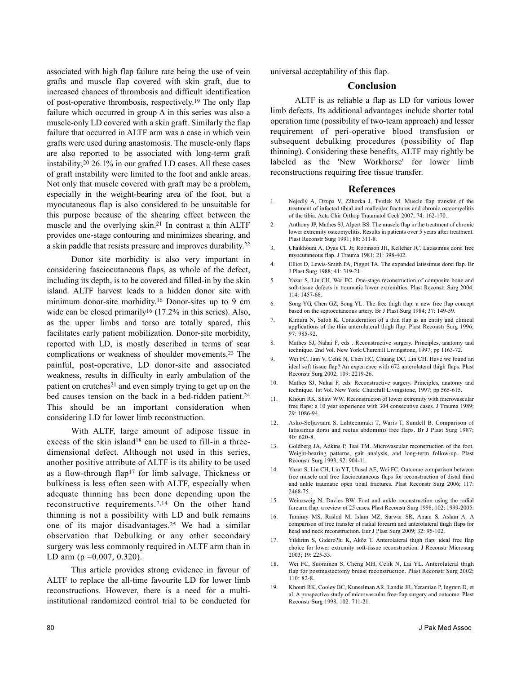associated with high flap failure rate being the use of vein grafts and muscle flap covered with skin graft, due to increased chances of thrombosis and difficult identification of post-operative thrombosis, respectively.<sup>19</sup> The only flap failure which occurred in group A in this series was also a muscle-only LD covered with a skin graft. Similarly the flap failure that occurred in ALTF arm was a case in which vein grafts were used during anastomosis. The muscle-only flaps are also reported to be associated with long-term graft instability;<sup>20</sup> 26.1% in our grafted LD cases. All these cases of graft instability were limited to the foot and ankle areas. Not only that muscle covered with graft may be a problem, especially in the weight-bearing area of the foot, but a myocutaneous flap is also considered to be unsuitable for this purpose because of the shearing effect between the muscle and the overlying skin.<sup>21</sup> In contrast a thin ALTF provides one-stage contouring and minimizes shearing, and a skin paddle that resists pressure and improves durability.<sup>22</sup>

Donor site morbidity is also very important in considering fasciocutaneous flaps, as whole of the defect, including its depth, is to be covered and filled-in by the skin island. ALTF harvest leads to a hidden donor site with minimum donor-site morbidity.<sup>16</sup> Donor-sites up to 9 cm wide can be closed primarily<sup>16</sup>  $(17.2\%$  in this series). Also, as the upper limbs and torso are totally spared, this facilitates early patient mobilization. Donor-site morbidity, reported with LD, is mostly described in terms of scar complications or weakness of shoulder movements.<sup>23</sup> The painful, post-operative, LD donor-site and associated weakness, results in difficulty in early ambulation of the patient on crutches<sup>21</sup> and even simply trying to get up on the bed causes tension on the back in a bed-ridden patient.<sup>24</sup> This should be an important consideration when considering LD for lower limb reconstruction.

With ALTF, large amount of adipose tissue in excess of the skin island<sup>18</sup> can be used to fill-in a threedimensional defect. Although not used in this series, another positive attribute of ALTF is its ability to be used as a flow-through flap<sup>17</sup> for limb salvage. Thickness or bulkiness is less often seen with ALTF, especially when adequate thinning has been done depending upon the reconstructive requirements.7,14 On the other hand thinning is not a possibility with LD and bulk remains one of its major disadvantages.<sup>25</sup> We had a similar observation that Debulking or any other secondary surgery was less commonly required in ALTF arm than in LD arm ( $p = 0.007, 0.320$ ).

This article provides strong evidence in favour of ALTF to replace the all-time favourite LD for lower limb reconstructions. However, there is a need for a multiinstitutional randomized control trial to be conducted for

universal acceptability of this flap.

### **Conclusion**

ALTF is as reliable a flap as LD for various lower limb defects. Its additional advantages include shorter total operation time (possibility of two-team approach) and lesser requirement of peri-operative blood transfusion or subsequent debulking procedures (possibility of flap thinning). Considering these benefits, ALTF may rightly be labeled as the 'New Workhorse' for lower limb reconstructions requiring free tissue transfer.

#### **References**

- 1. Nejedlý A, Dzupa V, Záhorka J, Tvrdek M. Muscle flap transfer of the treatment of infected tibial and malleolar fractures and chronic osteomyelitis of the tibia. Acta Chir Orthop Traumatol Cech 2007; 74: 162-170.
- 2. Anthony JP, Mathes SJ, Alpert BS. The muscle flap in the treatment of chronic lower extremity osteomyelitis. Results in patients over 5 years after treatment. Plast Reconstr Surg 1991; 88: 311-8.
- 3. Chaikhouni A, Dyas CL Jr, Robinson JH, Kelleher JC. Latissimus dorsi free myocutaneous flap. J Trauma 1981; 21: 398-402.
- 4. Elliot D, Lewis-Smith PA, Piggot TA. The expanded latissimus dorsi flap. Br J Plast Surg 1988; 41: 319-21.
- 5. Yazar S, Lin CH, Wei FC. One-stage reconstruction of composite bone and soft-tissue defects in traumatic lower extremities. Plast Reconstr Surg 2004; 114: 1457-66.
- 6. Song YG, Chen GZ, Song YL. The free thigh flap: a new free flap concept based on the septocutaneous artery. Br J Plast Surg 1984; 37: 149-59.
- 7. Kimura N, Satoh K. Consideration of a thin flap as an entity and clinical applications of the thin anterolateral thigh flap. Plast Reconstr Surg 1996; 97: 985-92.
- 8. Mathes SJ, Nahai F, eds . Reconstructive surgery. Principles, anatomy and technique. 2nd Vol. New York:Churchill Livingstone, 1997; pp 1163-72.
- 9. Wei FC, Jain V, Celik N, Chen HC, Chuang DC, Lin CH. Have we found an ideal soft tissue flap? An experience with 672 anterolateral thigh flaps. Plast Reconstr Surg 2002; 109: 2219-26.
- 10. Mathes SJ, Nahai F, eds. Reconstructive surgery. Principles, anatomy and technique. 1st Vol. New York: Churchill Livingstone, 1997; pp 565-615.
- 11. Khouri RK, Shaw WW. Reconstructon of lower extremity with microvascular free flaps: a 10 year experience with 304 consecutive cases. J Trauma 1989; 29: 1086-94.
- 12. Asko-Seljavaara S, Lahteenmaki T, Waris T, Sundell B. Comparison of latissimus dorsi and rectus abdominis free flaps. Br J Plast Surg 1987; 40: 620-8.
- 13. Goldberg JA, Adkins P, Tsai TM. Microvascular reconstruction of the foot. Weight-bearing patterns, gait analysis, and long-term follow-up. Plast Reconstr Surg 1993; 92: 904-11.
- 14. Yazar S, Lin CH, Lin YT, Ulusal AE, Wei FC. Outcome comparison between free muscle and free fasciocutaneous flaps for reconstruction of distal third and ankle traumatic open tibial fractures. Plast Reconstr Surg 2006; 117: 2468-75.
- 15. Weinzweig N, Davies BW. Foot and ankle reconstruction using the radial forearm flap: a review of 25 cases. Plast Reconstr Surg 1998; 102: 1999-2005.
- 16. Tamimy MS, Rashid M, Islam MZ, Sarwar SR, Aman S, Aslam A. A comparison of free transfer of radial forearm and anterolateral thigh flaps for head and neck reconstruction. Eur J Plast Surg 2009; 32: 95-102.
- 17. Yildirim S, Gidero?lu K, Aköz T. Anterolateral thigh flap: ideal free flap choice for lower extremity soft-tissue reconstruction. J Reconstr Microsurg 2003; 19: 225-33.
- 18. Wei FC, Suominen S, Cheng MH, Celik N, Lai YL. Anterolateral thigh flap for postmastectomy breast reconstruction. Plast Reconstr Surg 2002; 110: 82-8.
- 19. Khouri RK, Cooley BC, Kunselman AR, Landis JR, Yeramian P, Ingram D, et al. A prospective study of microvascular free-flap surgery and outcome. Plast Reconstr Surg 1998; 102: 711-21.